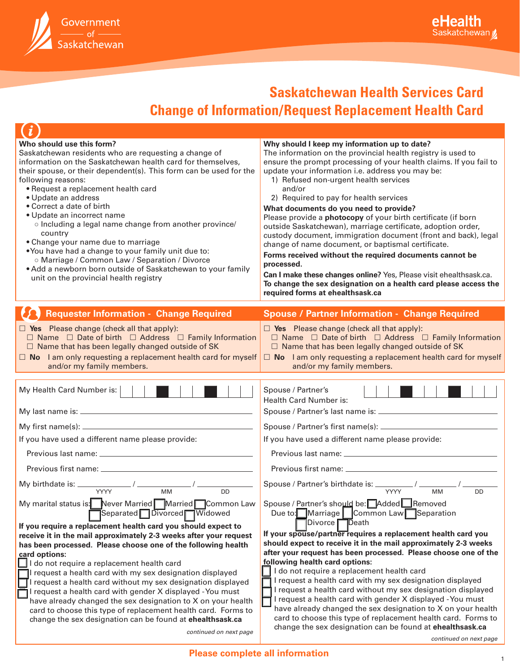

# **Saskatchewan Health Services Card**

## **Change of Information/Request Replacement Health Card**

| Who should use this form?<br>Saskatchewan residents who are requesting a change of<br>information on the Saskatchewan health card for themselves,<br>their spouse, or their dependent(s). This form can be used for the<br>following reasons:<br>• Request a replacement health card<br>• Update an address<br>• Correct a date of birth<br>· Update an incorrect name<br>o Including a legal name change from another province/<br>country<br>• Change your name due to marriage<br>.You have had a change to your family unit due to:<br>o Marriage / Common Law / Separation / Divorce<br>• Add a newborn born outside of Saskatchewan to your family<br>unit on the provincial health registry              | Why should I keep my information up to date?<br>The information on the provincial health registry is used to<br>ensure the prompt processing of your health claims. If you fail to<br>update your information i.e. address you may be:<br>1) Refused non-urgent health services<br>and/or<br>2) Required to pay for health services<br>What documents do you need to provide?<br>Please provide a <b>photocopy</b> of your birth certificate (if born<br>outside Saskatchewan), marriage certificate, adoption order,<br>custody document, immigration document (front and back), legal<br>change of name document, or baptismal certificate.<br>Forms received without the required documents cannot be<br>processed.<br>Can I make these changes online? Yes, Please visit ehealthsask.ca.<br>To change the sex designation on a health card please access the<br>required forms at ehealthsask.ca |
|-----------------------------------------------------------------------------------------------------------------------------------------------------------------------------------------------------------------------------------------------------------------------------------------------------------------------------------------------------------------------------------------------------------------------------------------------------------------------------------------------------------------------------------------------------------------------------------------------------------------------------------------------------------------------------------------------------------------|------------------------------------------------------------------------------------------------------------------------------------------------------------------------------------------------------------------------------------------------------------------------------------------------------------------------------------------------------------------------------------------------------------------------------------------------------------------------------------------------------------------------------------------------------------------------------------------------------------------------------------------------------------------------------------------------------------------------------------------------------------------------------------------------------------------------------------------------------------------------------------------------------|
| <b>Requester Information - Change Required</b>                                                                                                                                                                                                                                                                                                                                                                                                                                                                                                                                                                                                                                                                  | <b>Spouse / Partner Information - Change Required</b>                                                                                                                                                                                                                                                                                                                                                                                                                                                                                                                                                                                                                                                                                                                                                                                                                                                |
| $\Box$ Yes Please change (check all that apply):<br>$\Box$ Name $\Box$ Date of birth $\Box$ Address $\Box$ Family Information<br>$\Box$ Name that has been legally changed outside of SK<br>$\Box$ No I am only requesting a replacement health card for myself<br>and/or my family members.                                                                                                                                                                                                                                                                                                                                                                                                                    | $\Box$ Yes Please change (check all that apply):<br>$\Box$ Name $\Box$ Date of birth $\Box$ Address $\Box$ Family Information<br>$\Box$ Name that has been legally changed outside of SK<br>$\Box$ No I am only requesting a replacement health card for myself<br>and/or my family members.                                                                                                                                                                                                                                                                                                                                                                                                                                                                                                                                                                                                         |
| My Health Card Number is:                                                                                                                                                                                                                                                                                                                                                                                                                                                                                                                                                                                                                                                                                       | Spouse / Partner's<br>Health Card Number is:                                                                                                                                                                                                                                                                                                                                                                                                                                                                                                                                                                                                                                                                                                                                                                                                                                                         |
|                                                                                                                                                                                                                                                                                                                                                                                                                                                                                                                                                                                                                                                                                                                 |                                                                                                                                                                                                                                                                                                                                                                                                                                                                                                                                                                                                                                                                                                                                                                                                                                                                                                      |
| If you have used a different name please provide:                                                                                                                                                                                                                                                                                                                                                                                                                                                                                                                                                                                                                                                               | If you have used a different name please provide:                                                                                                                                                                                                                                                                                                                                                                                                                                                                                                                                                                                                                                                                                                                                                                                                                                                    |
|                                                                                                                                                                                                                                                                                                                                                                                                                                                                                                                                                                                                                                                                                                                 |                                                                                                                                                                                                                                                                                                                                                                                                                                                                                                                                                                                                                                                                                                                                                                                                                                                                                                      |
|                                                                                                                                                                                                                                                                                                                                                                                                                                                                                                                                                                                                                                                                                                                 |                                                                                                                                                                                                                                                                                                                                                                                                                                                                                                                                                                                                                                                                                                                                                                                                                                                                                                      |
| $\overline{DD}$<br>My marital status is: Never Married Married Common Law Spouse / Partner's should be: Added Removed                                                                                                                                                                                                                                                                                                                                                                                                                                                                                                                                                                                           | Spouse / Partner's birthdate is: $\frac{1}{\sqrt{2}}$ / $\frac{1}{\sqrt{2}}$<br><b>DD</b>                                                                                                                                                                                                                                                                                                                                                                                                                                                                                                                                                                                                                                                                                                                                                                                                            |
| Separated Divorced Widowed<br>If you require a replacement health card you should expect to<br>receive it in the mail approximately 2-3 weeks after your request<br>has been processed. Please choose one of the following health<br>card options:<br>I do not require a replacement health card<br>request a health card with my sex designation displayed<br>request a health card without my sex designation displayed<br>I request a health card with gender X displayed - You must<br>have already changed the sex designation to X on your health<br>card to choose this type of replacement health card. Forms to<br>change the sex designation can be found at ehealthsask.ca<br>continued on next page | Due to: Marriage   Common Law Separation<br>Divorce Death<br>If your spouse/partner requires a replacement health card you<br>should expect to receive it in the mail approximately 2-3 weeks<br>after your request has been processed. Please choose one of the<br>following health card options:<br>I do not require a replacement health card<br>I request a health card with my sex designation displayed<br>I request a health card without my sex designation displayed<br>I request a health card with gender X displayed - You must<br>have already changed the sex designation to X on your health<br>card to choose this type of replacement health card. Forms to<br>change the sex designation can be found at ehealthsask.ca                                                                                                                                                            |

*continued on next page*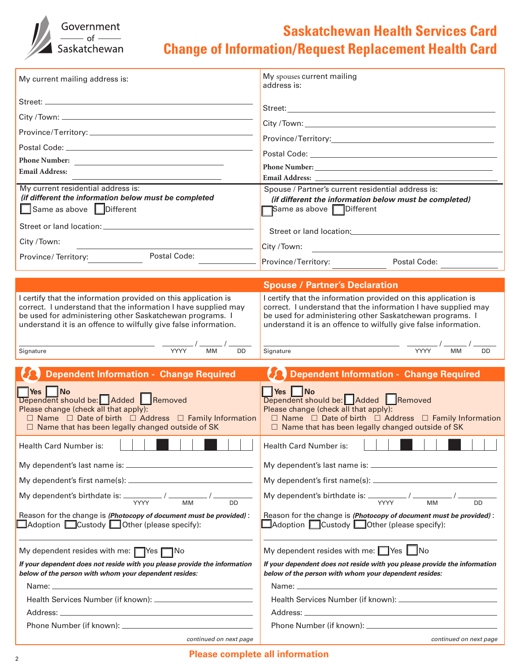

#### **Saskatchewan Health Services Card Change of Information/Request Replacement Health Card**

| My current mailing address is:                                                                                                                                                                                                                                  | My spouses current mailing<br>address is:                                                                                                                                                                                                                       |
|-----------------------------------------------------------------------------------------------------------------------------------------------------------------------------------------------------------------------------------------------------------------|-----------------------------------------------------------------------------------------------------------------------------------------------------------------------------------------------------------------------------------------------------------------|
|                                                                                                                                                                                                                                                                 |                                                                                                                                                                                                                                                                 |
|                                                                                                                                                                                                                                                                 |                                                                                                                                                                                                                                                                 |
|                                                                                                                                                                                                                                                                 |                                                                                                                                                                                                                                                                 |
|                                                                                                                                                                                                                                                                 |                                                                                                                                                                                                                                                                 |
|                                                                                                                                                                                                                                                                 |                                                                                                                                                                                                                                                                 |
| <b>Email Address:</b>                                                                                                                                                                                                                                           |                                                                                                                                                                                                                                                                 |
| My current residential address is:<br>(if different the information below must be completed<br>Same as above <b>Different</b>                                                                                                                                   | Spouse / Partner's current residential address is:<br>(if different the information below must be completed)<br>Same as above <b>Different</b>                                                                                                                  |
|                                                                                                                                                                                                                                                                 | Street or land location: Street or land location:                                                                                                                                                                                                               |
| City / Town:                                                                                                                                                                                                                                                    | City /Town:<br><u> 1989 - Jan Stein Stein Stein Stein Stein Stein Stein Stein Stein Stein Stein Stein Stein Stein Stein Stein St</u>                                                                                                                            |
| Postal Code:<br>Province/Territory:                                                                                                                                                                                                                             | Province/Territory: Postal Code:                                                                                                                                                                                                                                |
|                                                                                                                                                                                                                                                                 |                                                                                                                                                                                                                                                                 |
|                                                                                                                                                                                                                                                                 | <b>Spouse / Partner's Declaration</b>                                                                                                                                                                                                                           |
| I certify that the information provided on this application is<br>correct. I understand that the information I have supplied may<br>be used for administering other Saskatchewan programs. I<br>understand it is an offence to wilfully give false information. | I certify that the information provided on this application is<br>correct. I understand that the information I have supplied may<br>be used for administering other Saskatchewan programs. I<br>understand it is an offence to wilfully give false information. |
| $\frac{1}{\text{YYYY}}$ / $\frac{1}{\text{MM}}$ / $\frac{1}{\text{M}}$<br>$\overline{DD}$<br>Signature                                                                                                                                                          | $\frac{1}{\text{YYYY}}$ / $\frac{1}{\text{MM}}$ / $\frac{1}{\text{MM}}$<br>Signature<br><b>DD</b>                                                                                                                                                               |
|                                                                                                                                                                                                                                                                 |                                                                                                                                                                                                                                                                 |
| <b>Dependent Information - Change Required</b>                                                                                                                                                                                                                  | Dependent Information - Change Required                                                                                                                                                                                                                         |
| <b>Yes</b>   No<br>Dependent should be: Added Removed<br>Please change (check all that apply):<br>$\Box$ Name $\Box$ Date of birth $\Box$ Address $\Box$ Family Information<br>$\Box$ Name that has been legally changed outside of SK                          | Yes No<br>Dependent should be: Added Removed<br>Please change (check all that apply):<br>$\Box$ Name $\Box$ Date of birth $\Box$ Address $\Box$ Family Information<br>$\Box$ Name that has been legally changed outside of SK                                   |
| <b>Health Card Number is:</b>                                                                                                                                                                                                                                   | <b>Health Card Number is:</b>                                                                                                                                                                                                                                   |
|                                                                                                                                                                                                                                                                 |                                                                                                                                                                                                                                                                 |
|                                                                                                                                                                                                                                                                 |                                                                                                                                                                                                                                                                 |
| My dependent's birthdate is: $\frac{1}{\gamma \gamma \gamma \gamma}$ / $\frac{1}{\gamma \gamma \gamma}$ / $\frac{1}{\gamma \gamma \gamma \gamma}$                                                                                                               | My dependent's birthdate is: $\frac{1}{\gamma \gamma \gamma \gamma}$ / $\frac{1}{\gamma \gamma \gamma}$ / $\frac{1}{\gamma \gamma \gamma}$ DD                                                                                                                   |
| Reason for the change is (Photocopy of document must be provided):<br>$\Box$ Adoption $\Box$ Custody $\Box$ Other (please specify):                                                                                                                             | Reason for the change is (Photocopy of document must be provided):<br>$\Box$ Adoption $\Box$ Custody $\Box$ Other (please specify):                                                                                                                             |
| My dependent resides with me: $\Box$ Yes $\Box$ No                                                                                                                                                                                                              | My dependent resides with me: $\Box$ Yes $\Box$ No                                                                                                                                                                                                              |
| If your dependent does not reside with you please provide the information<br>below of the person with whom your dependent resides:                                                                                                                              | If your dependent does not reside with you please provide the information<br>below of the person with whom your dependent resides:                                                                                                                              |
|                                                                                                                                                                                                                                                                 |                                                                                                                                                                                                                                                                 |
|                                                                                                                                                                                                                                                                 |                                                                                                                                                                                                                                                                 |
| Address: Address: Address: Address: Address: Address: Address: Address: Address: Address: Address: A                                                                                                                                                            |                                                                                                                                                                                                                                                                 |
|                                                                                                                                                                                                                                                                 |                                                                                                                                                                                                                                                                 |